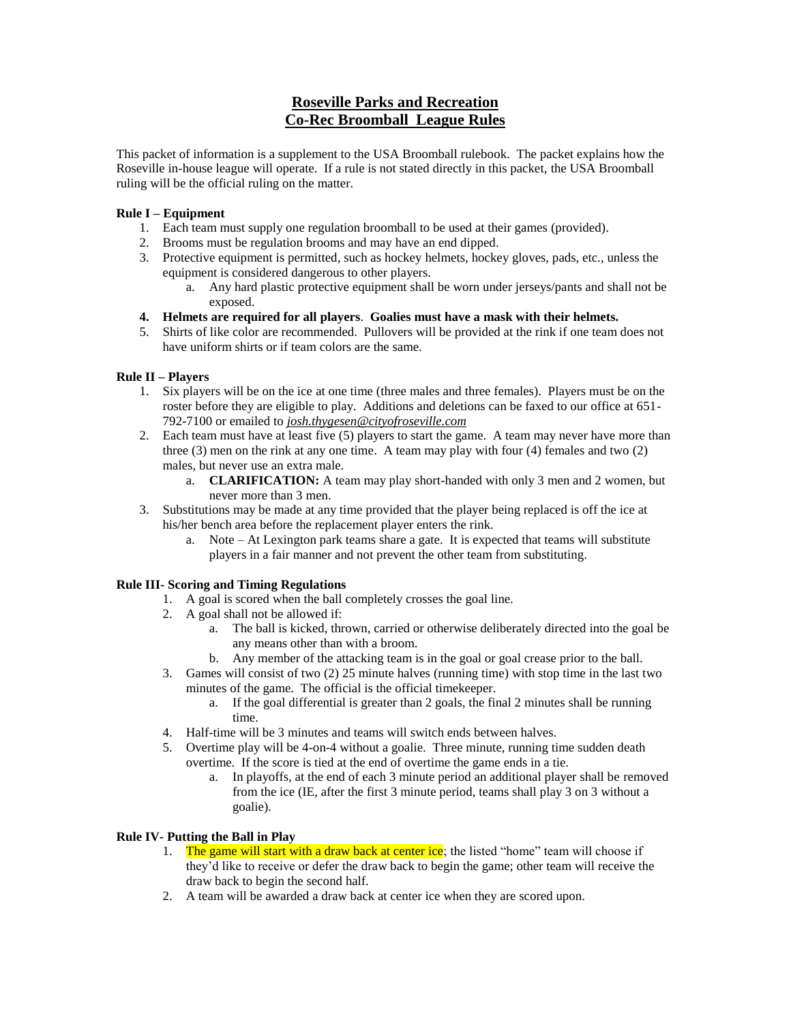# **Roseville Parks and Recreation Co-Rec Broomball League Rules**

This packet of information is a supplement to the USA Broomball rulebook. The packet explains how the Roseville in-house league will operate. If a rule is not stated directly in this packet, the USA Broomball ruling will be the official ruling on the matter.

# **Rule I – Equipment**

- 1. Each team must supply one regulation broomball to be used at their games (provided).
- 2. Brooms must be regulation brooms and may have an end dipped.
- 3. Protective equipment is permitted, such as hockey helmets, hockey gloves, pads, etc., unless the equipment is considered dangerous to other players.
	- a. Any hard plastic protective equipment shall be worn under jerseys/pants and shall not be exposed.
- **4. Helmets are required for all players**. **Goalies must have a mask with their helmets.**
- 5. Shirts of like color are recommended. Pullovers will be provided at the rink if one team does not have uniform shirts or if team colors are the same.

# **Rule II – Players**

- 1. Six players will be on the ice at one time (three males and three females). Players must be on the roster before they are eligible to play. Additions and deletions can be faxed to our office at 651- 792-7100 or emailed to *josh.thygesen@cityofroseville.com*
- 2. Each team must have at least five (5) players to start the game. A team may never have more than three (3) men on the rink at any one time. A team may play with four (4) females and two (2) males, but never use an extra male.
	- a. **CLARIFICATION:** A team may play short-handed with only 3 men and 2 women, but never more than 3 men.
- 3. Substitutions may be made at any time provided that the player being replaced is off the ice at his/her bench area before the replacement player enters the rink.
	- a. Note At Lexington park teams share a gate. It is expected that teams will substitute players in a fair manner and not prevent the other team from substituting.

### **Rule III- Scoring and Timing Regulations**

- 1. A goal is scored when the ball completely crosses the goal line.
- 2. A goal shall not be allowed if:
	- a. The ball is kicked, thrown, carried or otherwise deliberately directed into the goal be any means other than with a broom.
	- b. Any member of the attacking team is in the goal or goal crease prior to the ball.
- 3. Games will consist of two (2) 25 minute halves (running time) with stop time in the last two minutes of the game. The official is the official timekeeper.
	- a. If the goal differential is greater than 2 goals, the final 2 minutes shall be running time.
- 4. Half-time will be 3 minutes and teams will switch ends between halves.
- 5. Overtime play will be 4-on-4 without a goalie. Three minute, running time sudden death overtime. If the score is tied at the end of overtime the game ends in a tie.
	- a. In playoffs, at the end of each 3 minute period an additional player shall be removed from the ice (IE, after the first 3 minute period, teams shall play 3 on 3 without a goalie).

# **Rule IV- Putting the Ball in Play**

- 1. The game will start with a draw back at center ice; the listed "home" team will choose if they'd like to receive or defer the draw back to begin the game; other team will receive the draw back to begin the second half.
- 2. A team will be awarded a draw back at center ice when they are scored upon.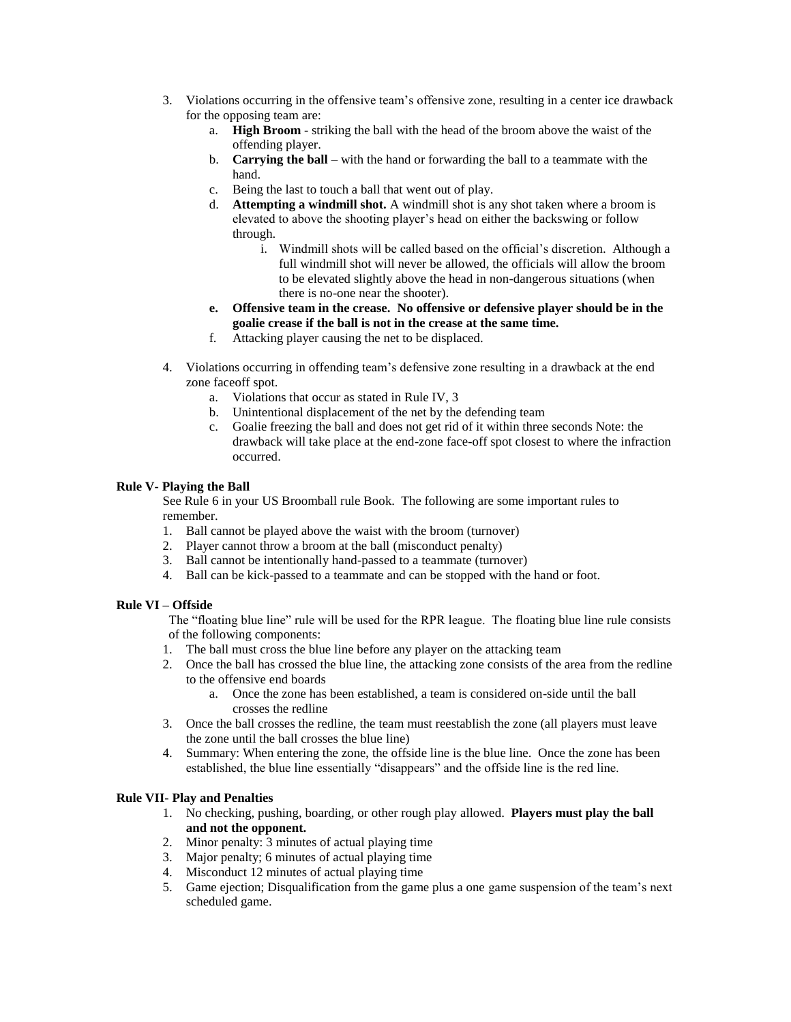- 3. Violations occurring in the offensive team's offensive zone, resulting in a center ice drawback for the opposing team are:
	- a. **High Broom** striking the ball with the head of the broom above the waist of the offending player.
	- b. **Carrying the ball** with the hand or forwarding the ball to a teammate with the hand.
	- c. Being the last to touch a ball that went out of play.
	- d. **Attempting a windmill shot.** A windmill shot is any shot taken where a broom is elevated to above the shooting player's head on either the backswing or follow through.
		- i. Windmill shots will be called based on the official's discretion. Although a full windmill shot will never be allowed, the officials will allow the broom to be elevated slightly above the head in non-dangerous situations (when there is no-one near the shooter).
	- **e. Offensive team in the crease. No offensive or defensive player should be in the goalie crease if the ball is not in the crease at the same time.**
	- f. Attacking player causing the net to be displaced.
- 4. Violations occurring in offending team's defensive zone resulting in a drawback at the end zone faceoff spot.
	- a. Violations that occur as stated in Rule IV, 3
	- b. Unintentional displacement of the net by the defending team
	- c. Goalie freezing the ball and does not get rid of it within three seconds Note: the drawback will take place at the end-zone face-off spot closest to where the infraction occurred.

#### **Rule V- Playing the Ball**

See Rule 6 in your US Broomball rule Book. The following are some important rules to remember.

- 1. Ball cannot be played above the waist with the broom (turnover)
- 2. Player cannot throw a broom at the ball (misconduct penalty)
- 3. Ball cannot be intentionally hand-passed to a teammate (turnover)
- 4. Ball can be kick-passed to a teammate and can be stopped with the hand or foot.

### **Rule VI – Offside**

The "floating blue line" rule will be used for the RPR league. The floating blue line rule consists of the following components:

- 1. The ball must cross the blue line before any player on the attacking team
- 2. Once the ball has crossed the blue line, the attacking zone consists of the area from the redline to the offensive end boards
	- a. Once the zone has been established, a team is considered on-side until the ball crosses the redline
- 3. Once the ball crosses the redline, the team must reestablish the zone (all players must leave the zone until the ball crosses the blue line)
- 4. Summary: When entering the zone, the offside line is the blue line. Once the zone has been established, the blue line essentially "disappears" and the offside line is the red line.

## **Rule VII- Play and Penalties**

- 1. No checking, pushing, boarding, or other rough play allowed. **Players must play the ball and not the opponent.**
- 2. Minor penalty: 3 minutes of actual playing time
- 3. Major penalty; 6 minutes of actual playing time
- 4. Misconduct 12 minutes of actual playing time
- 5. Game ejection; Disqualification from the game plus a one game suspension of the team's next scheduled game.